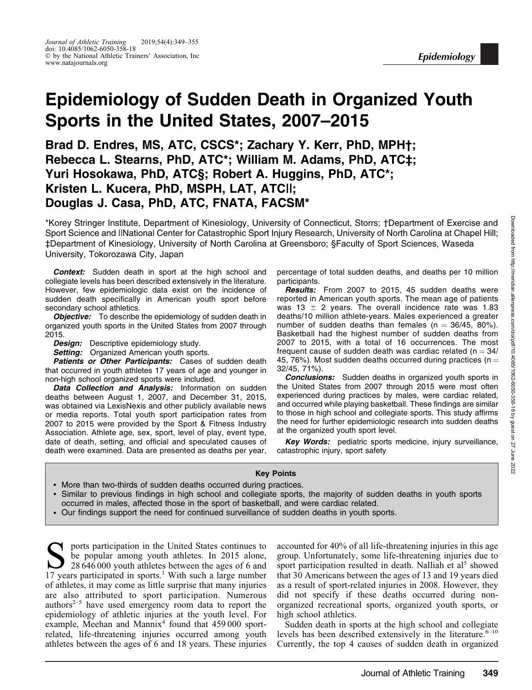# Epidemiology of Sudden Death in Organized Youth Sports in the United States, 2007–2015

Brad D. Endres, MS, ATC, CSCS\*; Zachary Y. Kerr, PhD, MPH†; Rebecca L. Stearns, PhD, ATC\*; William M. Adams, PhD, ATC‡; Yuri Hosokawa, PhD, ATC§; Robert A. Huggins, PhD, ATC\*; Kristen L. Kucera, PhD, MSPH, LAT, ATC||; Douglas J. Casa, PhD, ATC, FNATA, FACSM\*

\*Korey Stringer Institute, Department of Kinesiology, University of Connecticut, Storrs; †Department of Exercise and Sport Science and ||National Center for Catastrophic Sport Injury Research, University of North Carolina at Chapel Hill; ‡Department of Kinesiology, University of North Carolina at Greensboro; §Faculty of Sport Sciences, Waseda University, Tokorozawa City, Japan

**Context:** Sudden death in sport at the high school and collegiate levels has been described extensively in the literature. However, few epidemiologic data exist on the incidence of sudden death specifically in American youth sport before secondary school athletics.

**Objective:** To describe the epidemiology of sudden death in organized youth sports in the United States from 2007 through 2015.

**Design:** Descriptive epidemiology study.

Setting: Organized American youth sports.

Patients or Other Participants: Cases of sudden death that occurred in youth athletes 17 years of age and younger in non-high school organized sports were included.

Data Collection and Analysis: Information on sudden deaths between August 1, 2007, and December 31, 2015, was obtained via LexisNexis and other publicly available news or media reports. Total youth sport participation rates from 2007 to 2015 were provided by the Sport & Fitness Industry Association. Athlete age, sex, sport, level of play, event type, date of death, setting, and official and speculated causes of death were examined. Data are presented as deaths per year, percentage of total sudden deaths, and deaths per 10 million participants.

Results: From 2007 to 2015, 45 sudden deaths were reported in American youth sports. The mean age of patients was 13  $\pm$  2 years. The overall incidence rate was 1.83 deaths/10 million athlete-years. Males experienced a greater number of sudden deaths than females ( $n = 36/45$ , 80%). Basketball had the highest number of sudden deaths from 2007 to 2015, with a total of 16 occurrences. The most frequent cause of sudden death was cardiac related ( $n = 34/$ 45, 76%). Most sudden deaths occurred during practices ( $n =$ 32/45, 71%).

**Conclusions:** Sudden deaths in organized youth sports in the United States from 2007 through 2015 were most often experienced during practices by males, were cardiac related, and occurred while playing basketball. These findings are similar to those in high school and collegiate sports. This study affirms the need for further epidemiologic research into sudden deaths at the organized youth sport level.

Key Words: pediatric sports medicine, injury surveillance, catastrophic injury, sport safety

#### Key Points

- More than two-thirds of sudden deaths occurred during practices.
- Similar to previous findings in high school and collegiate sports, the majority of sudden deaths in youth sports occurred in males, affected those in the sport of basketball, and were cardiac related.
- Our findings support the need for continued surveillance of sudden deaths in youth sports.

Sports participation in the United States continues to<br>be popular among youth athletes. In 2015 alone,<br>28 646 000 youth athletes between the ages of 6 and<br>17 years participated in sports<sup>1</sup> With such a large number be popular among youth athletes. In 2015 alone, 17 years participated in sports.<sup>1</sup> With such a large number of athletes, it may come as little surprise that many injuries are also attributed to sport participation. Numerous authors $2-5$  have used emergency room data to report the epidemiology of athletic injuries at the youth level. For example, Meehan and Mannix<sup>4</sup> found that 459 000 sportrelated, life-threatening injuries occurred among youth athletes between the ages of 6 and 18 years. These injuries

accounted for 40% of all life-threatening injuries in this age group. Unfortunately, some life-threatening injuries due to sport participation resulted in death. Nalliah et  $al<sup>5</sup>$  showed that 30 Americans between the ages of 13 and 19 years died as a result of sport-related injuries in 2008. However, they did not specify if these deaths occurred during nonorganized recreational sports, organized youth sports, or high school athletics.

Sudden death in sports at the high school and collegiate levels has been described extensively in the literature. $6-10$ Currently, the top 4 causes of sudden death in organized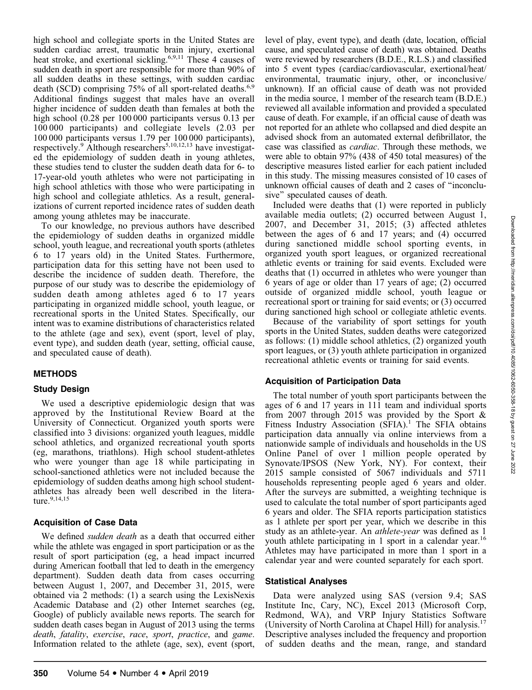high school and collegiate sports in the United States are sudden cardiac arrest, traumatic brain injury, exertional heat stroke, and exertional sickling.<sup>6,9,11</sup> These 4 causes of sudden death in sport are responsible for more than 90% of all sudden deaths in these settings, with sudden cardiac death (SCD) comprising 75% of all sport-related deaths.<sup>6,9</sup> Additional findings suggest that males have an overall higher incidence of sudden death than females at both the high school (0.28 per 100 000 participants versus 0.13 per 100 000 participants) and collegiate levels (2.03 per 100 000 participants versus 1.79 per 100 000 participants), respectively.<sup>9</sup> Although researchers<sup>5,10,12,13</sup> have investigated the epidemiology of sudden death in young athletes, these studies tend to cluster the sudden death data for 6- to 17-year-old youth athletes who were not participating in high school athletics with those who were participating in high school and collegiate athletics. As a result, generalizations of current reported incidence rates of sudden death among young athletes may be inaccurate.

To our knowledge, no previous authors have described the epidemiology of sudden deaths in organized middle school, youth league, and recreational youth sports (athletes 6 to 17 years old) in the United States. Furthermore, participation data for this setting have not been used to describe the incidence of sudden death. Therefore, the purpose of our study was to describe the epidemiology of sudden death among athletes aged 6 to 17 years participating in organized middle school, youth league, or recreational sports in the United States. Specifically, our intent was to examine distributions of characteristics related to the athlete (age and sex), event (sport, level of play, event type), and sudden death (year, setting, official cause, and speculated cause of death).

#### **METHODS**

#### Study Design

We used a descriptive epidemiologic design that was approved by the Institutional Review Board at the University of Connecticut. Organized youth sports were classified into 3 divisions: organized youth leagues, middle school athletics, and organized recreational youth sports (eg, marathons, triathlons). High school student-athletes who were younger than age 18 while participating in school-sanctioned athletics were not included because the epidemiology of sudden deaths among high school studentathletes has already been well described in the literature.<sup>9,14,15</sup>

#### Acquisition of Case Data

We defined *sudden death* as a death that occurred either while the athlete was engaged in sport participation or as the result of sport participation (eg, a head impact incurred during American football that led to death in the emergency department). Sudden death data from cases occurring between August 1, 2007, and December 31, 2015, were obtained via 2 methods: (1) a search using the LexisNexis Academic Database and (2) other Internet searches (eg, Google) of publicly available news reports. The search for sudden death cases began in August of 2013 using the terms death, fatality, exercise, race, sport, practice, and game. Information related to the athlete (age, sex), event (sport,

level of play, event type), and death (date, location, official cause, and speculated cause of death) was obtained. Deaths were reviewed by researchers (B.D.E., R.L.S.) and classified into 5 event types (cardiac/cardiovascular, exertional/heat/ environmental, traumatic injury, other, or inconclusive/ unknown). If an official cause of death was not provided in the media source, 1 member of the research team (B.D.E.) reviewed all available information and provided a speculated cause of death. For example, if an official cause of death was not reported for an athlete who collapsed and died despite an advised shock from an automated external defibrillator, the case was classified as cardiac. Through these methods, we were able to obtain 97% (438 of 450 total measures) of the descriptive measures listed earlier for each patient included in this study. The missing measures consisted of 10 cases of unknown official causes of death and 2 cases of ''inconclusive'' speculated causes of death.

Included were deaths that (1) were reported in publicly available media outlets; (2) occurred between August 1, 2007, and December 31, 2015; (3) affected athletes between the ages of 6 and 17 years; and (4) occurred during sanctioned middle school sporting events, in organized youth sport leagues, or organized recreational athletic events or training for said events. Excluded were deaths that (1) occurred in athletes who were younger than 6 years of age or older than 17 years of age; (2) occurred outside of organized middle school, youth league or recreational sport or training for said events; or (3) occurred during sanctioned high school or collegiate athletic events.

Because of the variability of sport settings for youth sports in the United States, sudden deaths were categorized as follows: (1) middle school athletics, (2) organized youth sport leagues, or (3) youth athlete participation in organized recreational athletic events or training for said events.

## Acquisition of Participation Data

The total number of youth sport participants between the ages of 6 and 17 years in 111 team and individual sports from 2007 through 2015 was provided by the Sport & Fitness Industry Association (SFIA).<sup>1</sup> The SFIA obtains participation data annually via online interviews from a nationwide sample of individuals and households in the US Online Panel of over 1 million people operated by Synovate/IPSOS (New York, NY). For context, their 2015 sample consisted of 5067 individuals and 5711 households representing people aged 6 years and older. After the surveys are submitted, a weighting technique is used to calculate the total number of sport participants aged 6 years and older. The SFIA reports participation statistics as 1 athlete per sport per year, which we describe in this study as an athlete-year. An athlete-year was defined as 1 youth athlete participating in 1 sport in a calendar year.<sup>16</sup> Athletes may have participated in more than 1 sport in a calendar year and were counted separately for each sport.

#### Statistical Analyses

Data were analyzed using SAS (version 9.4; SAS Institute Inc, Cary, NC), Excel 2013 (Microsoft Corp, Redmond, WA), and VRP Injury Statistics Software (University of North Carolina at Chapel Hill) for analysis.<sup>17</sup> Descriptive analyses included the frequency and proportion of sudden deaths and the mean, range, and standard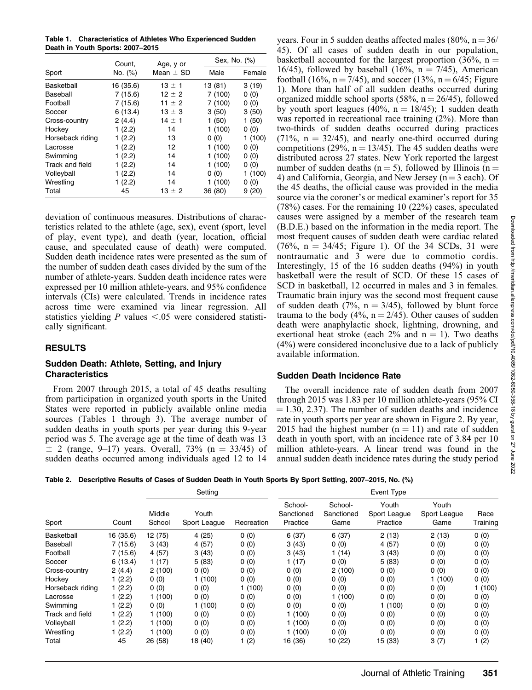Table 1. Characteristics of Athletes Who Experienced Sudden Death in Youth Sports: 2007–2015

|                  | Count,    | Age, y or     | Sex, No. (%) |         |  |
|------------------|-----------|---------------|--------------|---------|--|
| Sport            | No. (%)   | Mean $\pm$ SD | Male         | Female  |  |
| Basketball       | 16 (35.6) | $13 \pm 1$    | 13 (81)      | 3(19)   |  |
| Baseball         | 7(15.6)   | $12 \pm 2$    | 7(100)       | 0(0)    |  |
| Football         | 7(15.6)   | 11 $\pm$ 2    | 7 (100)      | 0(0)    |  |
| Soccer           | 6(13.4)   | $13 \pm 3$    | 3(50)        | 3(50)   |  |
| Cross-country    | 2(4.4)    | $14 \pm 1$    | 1(50)        | 1(50)   |  |
| Hockey           | 1(2.2)    | 14            | 1(100)       | 0(0)    |  |
| Horseback riding | 1(2.2)    | 13            | 0(0)         | 1(100)  |  |
| Lacrosse         | 1(2.2)    | 12            | 1(100)       | 0(0)    |  |
| Swimming         | 1(2.2)    | 14            | 1(100)       | 0(0)    |  |
| Track and field  | 1(2.2)    | 14            | 1(100)       | 0(0)    |  |
| Volleyball       | 1(2.2)    | 14            | 0(0)         | 1 (100) |  |
| Wrestling        | 1 (2.2)   | 14            | 1(100)       | 0(0)    |  |
| Total            | 45        | 13 $\pm$ 2    | 36 (80)      | 9(20)   |  |

deviation of continuous measures. Distributions of characteristics related to the athlete (age, sex), event (sport, level of play, event type), and death (year, location, official cause, and speculated cause of death) were computed. Sudden death incidence rates were presented as the sum of the number of sudden death cases divided by the sum of the number of athlete-years. Sudden death incidence rates were expressed per 10 million athlete-years, and 95% confidence intervals (CIs) were calculated. Trends in incidence rates across time were examined via linear regression. All statistics yielding P values  $\leq .05$  were considered statistically significant.

#### RESULTS

#### Sudden Death: Athlete, Setting, and Injury **Characteristics**

From 2007 through 2015, a total of 45 deaths resulting from participation in organized youth sports in the United States were reported in publicly available online media sources (Tables 1 through 3). The average number of sudden deaths in youth sports per year during this 9-year period was 5. The average age at the time of death was 13  $\pm$  2 (range, 9–17) years. Overall, 73% (n = 33/45) of sudden deaths occurred among individuals aged 12 to 14 years. Four in 5 sudden deaths affected males (80%,  $n = 36/3$ ) 45). Of all cases of sudden death in our population, basketball accounted for the largest proportion (36%,  $n =$ 16/45), followed by baseball (16%,  $n = 7/45$ ), American football (16%,  $n = 7/45$ ), and soccer (13%,  $n = 6/45$ ; Figure 1). More than half of all sudden deaths occurred during organized middle school sports (58%,  $n = 26/45$ ), followed by youth sport leagues (40%,  $n = 18/45$ ); 1 sudden death was reported in recreational race training (2%). More than two-thirds of sudden deaths occurred during practices  $(71\%, n = 32/45)$ , and nearly one-third occurred during competitions (29%,  $n = 13/45$ ). The 45 sudden deaths were distributed across 27 states. New York reported the largest number of sudden deaths ( $n = 5$ ), followed by Illinois ( $n =$ 4) and California, Georgia, and New Jersey ( $n = 3$  each). Of the 45 deaths, the official cause was provided in the media source via the coroner's or medical examiner's report for 35 (78%) cases. For the remaining 10 (22%) cases, speculated causes were assigned by a member of the research team (B.D.E.) based on the information in the media report. The most frequent causes of sudden death were cardiac related  $(76\%, n = 34/45;$  Figure 1). Of the 34 SCDs, 31 were nontraumatic and 3 were due to commotio cordis. Interestingly, 15 of the 16 sudden deaths (94%) in youth basketball were the result of SCD. Of these 15 cases of SCD in basketball, 12 occurred in males and 3 in females. Traumatic brain injury was the second most frequent cause of sudden death (7%,  $n = 3/45$ ), followed by blunt force trauma to the body (4%,  $n = 2/45$ ). Other causes of sudden death were anaphylactic shock, lightning, drowning, and exertional heat stroke (each  $2\%$  and  $n = 1$ ). Two deaths (4%) were considered inconclusive due to a lack of publicly available information.

### Sudden Death Incidence Rate

The overall incidence rate of sudden death from 2007 through 2015 was 1.83 per 10 million athlete-years (95% CI  $= 1.30, 2.37$ . The number of sudden deaths and incidence rate in youth sports per year are shown in Figure 2. By year, 2015 had the highest number  $(n = 11)$  and rate of sudden death in youth sport, with an incidence rate of 3.84 per 10 million athlete-years. A linear trend was found in the annual sudden death incidence rates during the study period

Table 2. Descriptive Results of Cases of Sudden Death in Youth Sports By Sport Setting, 2007–2015, No. (%)

| Sport            | Count     | Setting          |                       | Event Type |                                   |                               |                                   |                               |                  |
|------------------|-----------|------------------|-----------------------|------------|-----------------------------------|-------------------------------|-----------------------------------|-------------------------------|------------------|
|                  |           | Middle<br>School | Youth<br>Sport League | Recreation | School-<br>Sanctioned<br>Practice | School-<br>Sanctioned<br>Game | Youth<br>Sport League<br>Practice | Youth<br>Sport League<br>Game | Race<br>Training |
| Basketball       | 16 (35.6) | 12 (75)          | 4(25)                 | 0(0)       | 6(37)                             | 6(37)                         | 2(13)                             | 2(13)                         | 0(0)             |
| Baseball         | 7(15.6)   | 3(43)            | 4(57)                 | 0(0)       | 3(43)                             | 0(0)                          | 4(57)                             | 0(0)                          | 0(0)             |
| Football         | 7(15.6)   | 4(57)            | 3(43)                 | 0(0)       | 3(43)                             | 1(14)                         | 3(43)                             | 0(0)                          | 0(0)             |
| Soccer           | 6(13.4)   | 1(17)            | 5(83)                 | 0(0)       | 1(17)                             | 0(0)                          | 5(83)                             | 0(0)                          | 0(0)             |
| Cross-country    | 2(4.4)    | 2(100)           | 0(0)                  | 0(0)       | 0(0)                              | 2(100)                        | 0(0)                              | 0(0)                          | 0(0)             |
| Hockey           | 1(2.2)    | 0(0)             | 1(100)                | 0(0)       | 0(0)                              | 0(0)                          | 0(0)                              | 1(100)                        | 0(0)             |
| Horseback riding | 1(2.2)    | 0(0)             | 0(0)                  | 1(100)     | 0(0)                              | 0(0)                          | 0(0)                              | 0(0)                          | 1(100)           |
| Lacrosse         | 1(2.2)    | 1(100)           | 0(0)                  | 0(0)       | 0(0)                              | 1(100)                        | 0(0)                              | 0(0)                          | 0(0)             |
| Swimming         | 1(2.2)    | 0(0)             | 1(100)                | 0(0)       | 0(0)                              | 0(0)                          | 1(100)                            | 0(0)                          | 0(0)             |
| Track and field  | 1(2.2)    | 1(100)           | 0(0)                  | 0(0)       | 1(100)                            | 0(0)                          | 0(0)                              | 0(0)                          | 0(0)             |
| Volleyball       | 1(2.2)    | 1(100)           | 0(0)                  | 0(0)       | 1 (100)                           | 0(0)                          | 0(0)                              | 0(0)                          | 0(0)             |
| Wrestling        | 1 (2.2)   | 1(100)           | 0(0)                  | 0(0)       | 1 (100)                           | 0(0)                          | 0(0)                              | 0(0)                          | 0(0)             |
| Total            | 45        | 26 (58)          | 18 (40)               | 1(2)       | 16 (36)                           | 10 (22)                       | 15 (33)                           | 3(7)                          | 1 (2)            |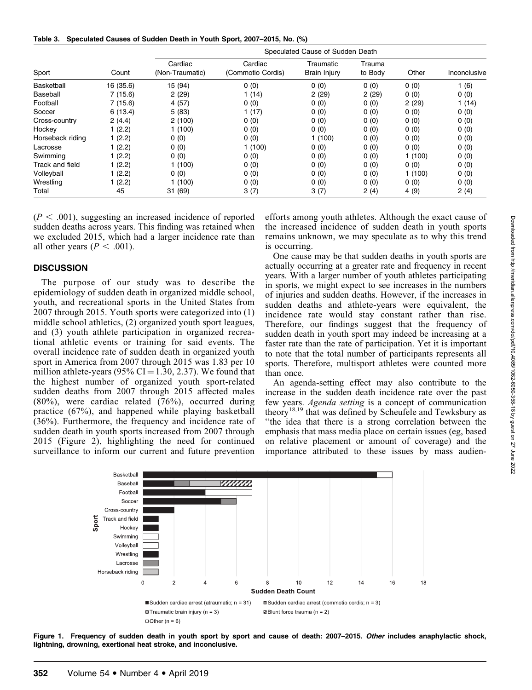Table 3. Speculated Causes of Sudden Death in Youth Sport, 2007–2015, No. (%)

| Sport            |           | Speculated Cause of Sudden Death |                              |                           |                   |        |              |  |
|------------------|-----------|----------------------------------|------------------------------|---------------------------|-------------------|--------|--------------|--|
|                  | Count     | Cardiac<br>(Non-Traumatic)       | Cardiac<br>(Commotio Cordis) | Traumatic<br>Brain Injury | Trauma<br>to Body | Other  | Inconclusive |  |
| Basketball       | 16 (35.6) | 15 (94)                          | 0(0)                         | 0(0)                      | 0(0)              | 0(0)   | 1(6)         |  |
| Baseball         | 7(15.6)   | 2(29)                            | 1(14)                        | 2(29)                     | 2(29)             | 0(0)   | 0(0)         |  |
| Football         | 7(15.6)   | 4(57)                            | 0(0)                         | 0(0)                      | 0(0)              | 2(29)  | 1(14)        |  |
| Soccer           | 6(13.4)   | 5(83)                            | 1(17)                        | 0(0)                      | 0(0)              | 0(0)   | 0(0)         |  |
| Cross-country    | 2(4.4)    | 2(100)                           | 0(0)                         | 0(0)                      | 0(0)              | 0(0)   | 0(0)         |  |
| Hockey           | 1(2.2)    | 1(100)                           | 0(0)                         | 0(0)                      | 0(0)              | 0(0)   | 0(0)         |  |
| Horseback riding | 1 (2.2)   | 0(0)                             | 0(0)                         | 1 (100)                   | 0(0)              | 0(0)   | 0(0)         |  |
| Lacrosse         | 1(2.2)    | 0(0)                             | 1(100)                       | 0(0)                      | 0(0)              | 0(0)   | 0(0)         |  |
| Swimming         | 1(2.2)    | 0(0)                             | 0(0)                         | 0(0)                      | 0(0)              | 1(100) | 0(0)         |  |
| Track and field  | 1(2.2)    | 1(100)                           | 0(0)                         | 0(0)                      | 0(0)              | 0(0)   | 0(0)         |  |
| Volleyball       | 1(2.2)    | 0(0)                             | 0(0)                         | 0(0)                      | 0(0)              | 1(100) | 0(0)         |  |
| Wrestling        | 1(2.2)    | 1(100)                           | 0(0)                         | 0(0)                      | 0(0)              | 0(0)   | 0(0)         |  |
| Total            | 45        | 31(69)                           | 3(7)                         | 3(7)                      | 2(4)              | 4(9)   | 2(4)         |  |

 $(P < .001)$ , suggesting an increased incidence of reported sudden deaths across years. This finding was retained when we excluded 2015, which had a larger incidence rate than all other years ( $P < .001$ ).

#### **DISCUSSION**

The purpose of our study was to describe the epidemiology of sudden death in organized middle school, youth, and recreational sports in the United States from 2007 through 2015. Youth sports were categorized into (1) middle school athletics, (2) organized youth sport leagues, and (3) youth athlete participation in organized recreational athletic events or training for said events. The overall incidence rate of sudden death in organized youth sport in America from 2007 through 2015 was 1.83 per 10 million athlete-years (95% CI = 1.30, 2.37). We found that the highest number of organized youth sport-related sudden deaths from 2007 through 2015 affected males (80%), were cardiac related (76%), occurred during practice (67%), and happened while playing basketball (36%). Furthermore, the frequency and incidence rate of sudden death in youth sports increased from 2007 through 2015 (Figure 2), highlighting the need for continued surveillance to inform our current and future prevention efforts among youth athletes. Although the exact cause of the increased incidence of sudden death in youth sports remains unknown, we may speculate as to why this trend is occurring.

One cause may be that sudden deaths in youth sports are actually occurring at a greater rate and frequency in recent years. With a larger number of youth athletes participating in sports, we might expect to see increases in the numbers of injuries and sudden deaths. However, if the increases in sudden deaths and athlete-years were equivalent, the incidence rate would stay constant rather than rise. Therefore, our findings suggest that the frequency of sudden death in youth sport may indeed be increasing at a faster rate than the rate of participation. Yet it is important to note that the total number of participants represents all sports. Therefore, multisport athletes were counted more than once.

An agenda-setting effect may also contribute to the increase in the sudden death incidence rate over the past few years. Agenda setting is a concept of communication theory18,19 that was defined by Scheufele and Tewksbury as ''the idea that there is a strong correlation between the emphasis that mass media place on certain issues (eg, based on relative placement or amount of coverage) and the importance attributed to these issues by mass audien-



Figure 1. Frequency of sudden death in youth sport by sport and cause of death: 2007-2015. Other includes anaphylactic shock, lightning, drowning, exertional heat stroke, and inconclusive.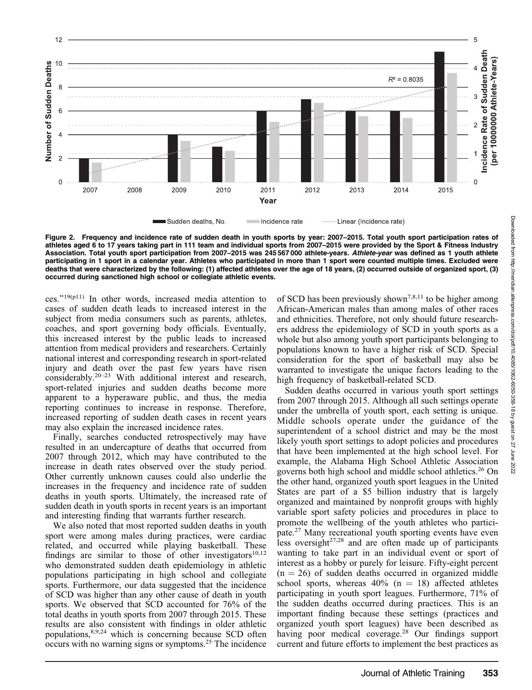

Figure 2. Frequency and incidence rate of sudden death in youth sports by year: 2007–2015. Total youth sport participation rates of athletes aged 6 to 17 years taking part in 111 team and individual sports from 2007–2015 were provided by the Sport & Fitness Industry Association. Total youth sport participation from 2007–2015 was 245 567 000 athlete-years. Athlete-year was defined as 1 youth athlete participating in 1 sport in a calendar year. Athletes who participated in more than 1 sport were counted multiple times. Excluded were deaths that were characterized by the following: (1) affected athletes over the age of 18 years, (2) occurred outside of organized sport, (3) occurred during sanctioned high school or collegiate athletic events.

ces.''19(p11) In other words, increased media attention to cases of sudden death leads to increased interest in the subject from media consumers such as parents, athletes, coaches, and sport governing body officials. Eventually, this increased interest by the public leads to increased attention from medical providers and researchers. Certainly national interest and corresponding research in sport-related injury and death over the past few years have risen considerably.20–23 With additional interest and research, sport-related injuries and sudden deaths become more apparent to a hyperaware public, and thus, the media reporting continues to increase in response. Therefore, increased reporting of sudden death cases in recent years may also explain the increased incidence rates.

Finally, searches conducted retrospectively may have resulted in an undercapture of deaths that occurred from 2007 through 2012, which may have contributed to the increase in death rates observed over the study period. Other currently unknown causes could also underlie the increases in the frequency and incidence rate of sudden deaths in youth sports. Ultimately, the increased rate of sudden death in youth sports in recent years is an important and interesting finding that warrants further research.

We also noted that most reported sudden deaths in youth sport were among males during practices, were cardiac related, and occurred while playing basketball. These findings are similar to those of other investigators $10,12$ who demonstrated sudden death epidemiology in athletic populations participating in high school and collegiate sports. Furthermore, our data suggested that the incidence of SCD was higher than any other cause of death in youth sports. We observed that SCD accounted for 76% of the total deaths in youth sports from 2007 through 2015. These results are also consistent with findings in older athletic populations, $8,9,24$  which is concerning because SCD often occurs with no warning signs or symptoms.25 The incidence of SCD has been previously shown<sup>7,8,11</sup> to be higher among African-American males than among males of other races and ethnicities. Therefore, not only should future researchers address the epidemiology of SCD in youth sports as a whole but also among youth sport participants belonging to populations known to have a higher risk of SCD. Special consideration for the sport of basketball may also be warranted to investigate the unique factors leading to the high frequency of basketball-related SCD.

Sudden deaths occurred in various youth sport settings from 2007 through 2015. Although all such settings operate under the umbrella of youth sport, each setting is unique. Middle schools operate under the guidance of the superintendent of a school district and may be the most likely youth sport settings to adopt policies and procedures that have been implemented at the high school level. For example, the Alabama High School Athletic Association governs both high school and middle school athletics.<sup>26</sup> On the other hand, organized youth sport leagues in the United States are part of a \$5 billion industry that is largely organized and maintained by nonprofit groups with highly variable sport safety policies and procedures in place to promote the wellbeing of the youth athletes who participate.27 Many recreational youth sporting events have even less oversight $27,28$  and are often made up of participants wanting to take part in an individual event or sport of interest as a hobby or purely for leisure. Fifty-eight percent  $(n = 26)$  of sudden deaths occurred in organized middle school sports, whereas  $40\%$  (n = 18) affected athletes participating in youth sport leagues. Furthermore, 71% of the sudden deaths occurred during practices. This is an important finding because these settings (practices and organized youth sport leagues) have been described as having poor medical coverage.<sup>28</sup> Our findings support current and future efforts to implement the best practices as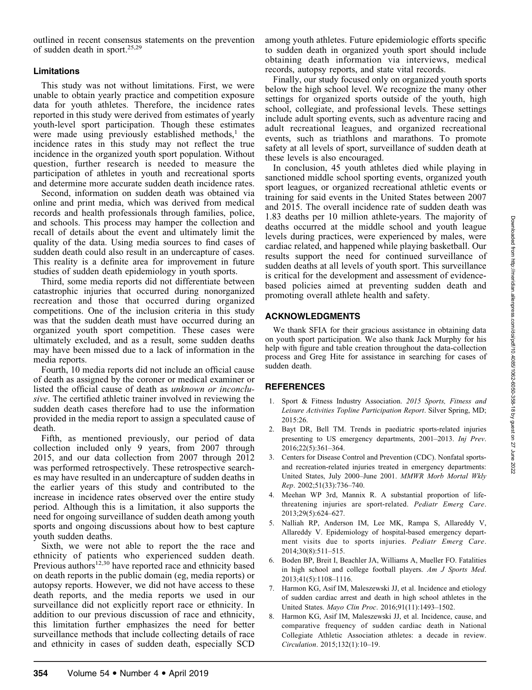## Limitations

This study was not without limitations. First, we were unable to obtain yearly practice and competition exposure data for youth athletes. Therefore, the incidence rates reported in this study were derived from estimates of yearly youth-level sport participation. Though these estimates were made using previously established methods, $<sup>1</sup>$  the</sup> incidence rates in this study may not reflect the true incidence in the organized youth sport population. Without question, further research is needed to measure the participation of athletes in youth and recreational sports and determine more accurate sudden death incidence rates.

Second, information on sudden death was obtained via online and print media, which was derived from medical records and health professionals through families, police, and schools. This process may hamper the collection and recall of details about the event and ultimately limit the quality of the data. Using media sources to find cases of sudden death could also result in an undercapture of cases. This reality is a definite area for improvement in future studies of sudden death epidemiology in youth sports.

Third, some media reports did not differentiate between catastrophic injuries that occurred during nonorganized recreation and those that occurred during organized competitions. One of the inclusion criteria in this study was that the sudden death must have occurred during an organized youth sport competition. These cases were ultimately excluded, and as a result, some sudden deaths may have been missed due to a lack of information in the media reports.

Fourth, 10 media reports did not include an official cause of death as assigned by the coroner or medical examiner or listed the official cause of death as unknown or inconclusive. The certified athletic trainer involved in reviewing the sudden death cases therefore had to use the information provided in the media report to assign a speculated cause of death.

Fifth, as mentioned previously, our period of data collection included only 9 years, from 2007 through 2015, and our data collection from 2007 through 2012 was performed retrospectively. These retrospective searches may have resulted in an undercapture of sudden deaths in the earlier years of this study and contributed to the increase in incidence rates observed over the entire study period. Although this is a limitation, it also supports the need for ongoing surveillance of sudden death among youth sports and ongoing discussions about how to best capture youth sudden deaths.

Sixth, we were not able to report the the race and ethnicity of patients who experienced sudden death. Previous authors<sup>12,30</sup> have reported race and ethnicity based on death reports in the public domain (eg, media reports) or autopsy reports. However, we did not have access to these death reports, and the media reports we used in our surveillance did not explicitly report race or ethnicity. In addition to our previous discussion of race and ethnicity, this limitation further emphasizes the need for better surveillance methods that include collecting details of race and ethnicity in cases of sudden death, especially SCD

among youth athletes. Future epidemiologic efforts specific to sudden death in organized youth sport should include obtaining death information via interviews, medical records, autopsy reports, and state vital records.

Finally, our study focused only on organized youth sports below the high school level. We recognize the many other settings for organized sports outside of the youth, high school, collegiate, and professional levels. These settings include adult sporting events, such as adventure racing and adult recreational leagues, and organized recreational events, such as triathlons and marathons. To promote safety at all levels of sport, surveillance of sudden death at these levels is also encouraged.

In conclusion, 45 youth athletes died while playing in sanctioned middle school sporting events, organized youth sport leagues, or organized recreational athletic events or training for said events in the United States between 2007 and 2015. The overall incidence rate of sudden death was 1.83 deaths per 10 million athlete-years. The majority of deaths occurred at the middle school and youth league levels during practices, were experienced by males, were cardiac related, and happened while playing basketball. Our results support the need for continued surveillance of sudden deaths at all levels of youth sport. This surveillance is critical for the development and assessment of evidencebased policies aimed at preventing sudden death and promoting overall athlete health and safety.

## ACKNOWLEDGMENTS

We thank SFIA for their gracious assistance in obtaining data on youth sport participation. We also thank Jack Murphy for his help with figure and table creation throughout the data-collection process and Greg Hite for assistance in searching for cases of sudden death.

## **REFERENCES**

- 1. Sport & Fitness Industry Association. 2015 Sports, Fitness and Leisure Activities Topline Participation Report. Silver Spring, MD; 2015:26.
- 2. Bayt DR, Bell TM. Trends in paediatric sports-related injuries presenting to US emergency departments, 2001–2013. Inj Prev. 2016;22(5):361–364.
- 3. Centers for Disease Control and Prevention (CDC). Nonfatal sportsand recreation-related injuries treated in emergency departments: United States, July 2000–June 2001. MMWR Morb Mortal Wkly Rep. 2002;51(33):736–740.
- Meehan WP 3rd, Mannix R. A substantial proportion of lifethreatening injuries are sport-related. Pediatr Emerg Care. 2013;29(5):624–627.
- 5. Nalliah RP, Anderson IM, Lee MK, Rampa S, Allareddy V, Allareddy V. Epidemiology of hospital-based emergency department visits due to sports injuries. Pediatr Emerg Care. 2014;30(8):511–515.
- 6. Boden BP, Breit I, Beachler JA, Williams A, Mueller FO. Fatalities in high school and college football players. Am J Sports Med. 2013;41(5):1108–1116.
- Harmon KG, Asif IM, Maleszewski JJ, et al. Incidence and etiology of sudden cardiac arrest and death in high school athletes in the United States. Mayo Clin Proc. 2016;91(11):1493–1502.
- 8. Harmon KG, Asif IM, Maleszewski JJ, et al. Incidence, cause, and comparative frequency of sudden cardiac death in National Collegiate Athletic Association athletes: a decade in review. Circulation. 2015;132(1):10–19.